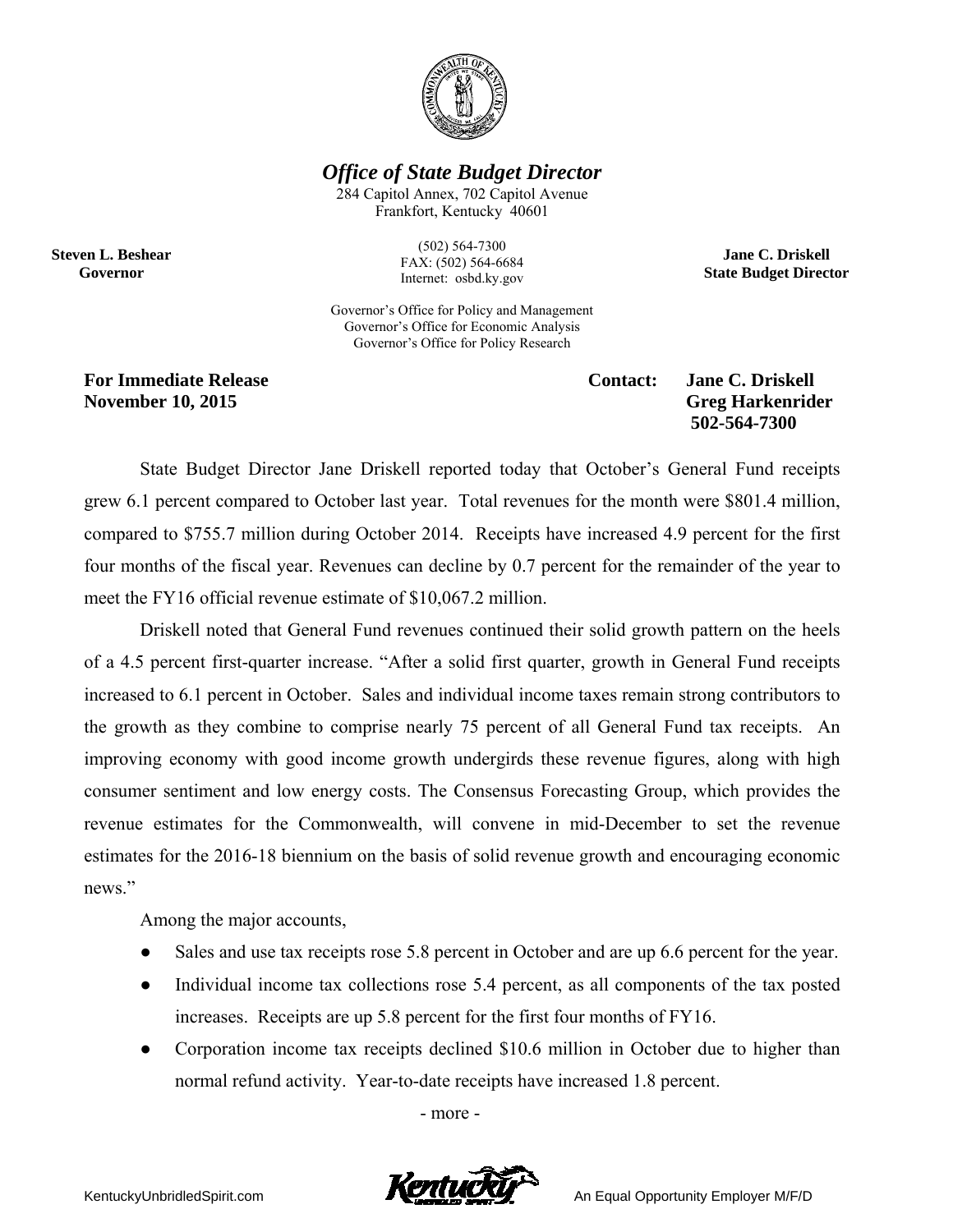

*Office of State Budget Director* 

284 Capitol Annex, 702 Capitol Avenue Frankfort, Kentucky 40601

**Steven L. Beshear Governor** 

(502) 564-7300 FAX: (502) 564-6684 Internet: osbd.ky.gov

Governor's Office for Policy and Management Governor's Office for Economic Analysis Governor's Office for Policy Research

**For Immediate Release**  The Contact: Jane C. Driskell **Contact:** Jane C. Driskell **November 10, 2015** Greg Harkenrider

 **502-564-7300** 

**Jane C. Driskell State Budget Director** 

State Budget Director Jane Driskell reported today that October's General Fund receipts grew 6.1 percent compared to October last year. Total revenues for the month were \$801.4 million, compared to \$755.7 million during October 2014. Receipts have increased 4.9 percent for the first four months of the fiscal year. Revenues can decline by 0.7 percent for the remainder of the year to meet the FY16 official revenue estimate of \$10,067.2 million.

Driskell noted that General Fund revenues continued their solid growth pattern on the heels of a 4.5 percent first-quarter increase. "After a solid first quarter, growth in General Fund receipts increased to 6.1 percent in October. Sales and individual income taxes remain strong contributors to the growth as they combine to comprise nearly 75 percent of all General Fund tax receipts. An improving economy with good income growth undergirds these revenue figures, along with high consumer sentiment and low energy costs. The Consensus Forecasting Group, which provides the revenue estimates for the Commonwealth, will convene in mid-December to set the revenue estimates for the 2016-18 biennium on the basis of solid revenue growth and encouraging economic news."

Among the major accounts,

- Sales and use tax receipts rose 5.8 percent in October and are up 6.6 percent for the year.
- Individual income tax collections rose 5.4 percent, as all components of the tax posted increases. Receipts are up 5.8 percent for the first four months of FY16.
- Corporation income tax receipts declined \$10.6 million in October due to higher than normal refund activity. Year-to-date receipts have increased 1.8 percent.

- more -



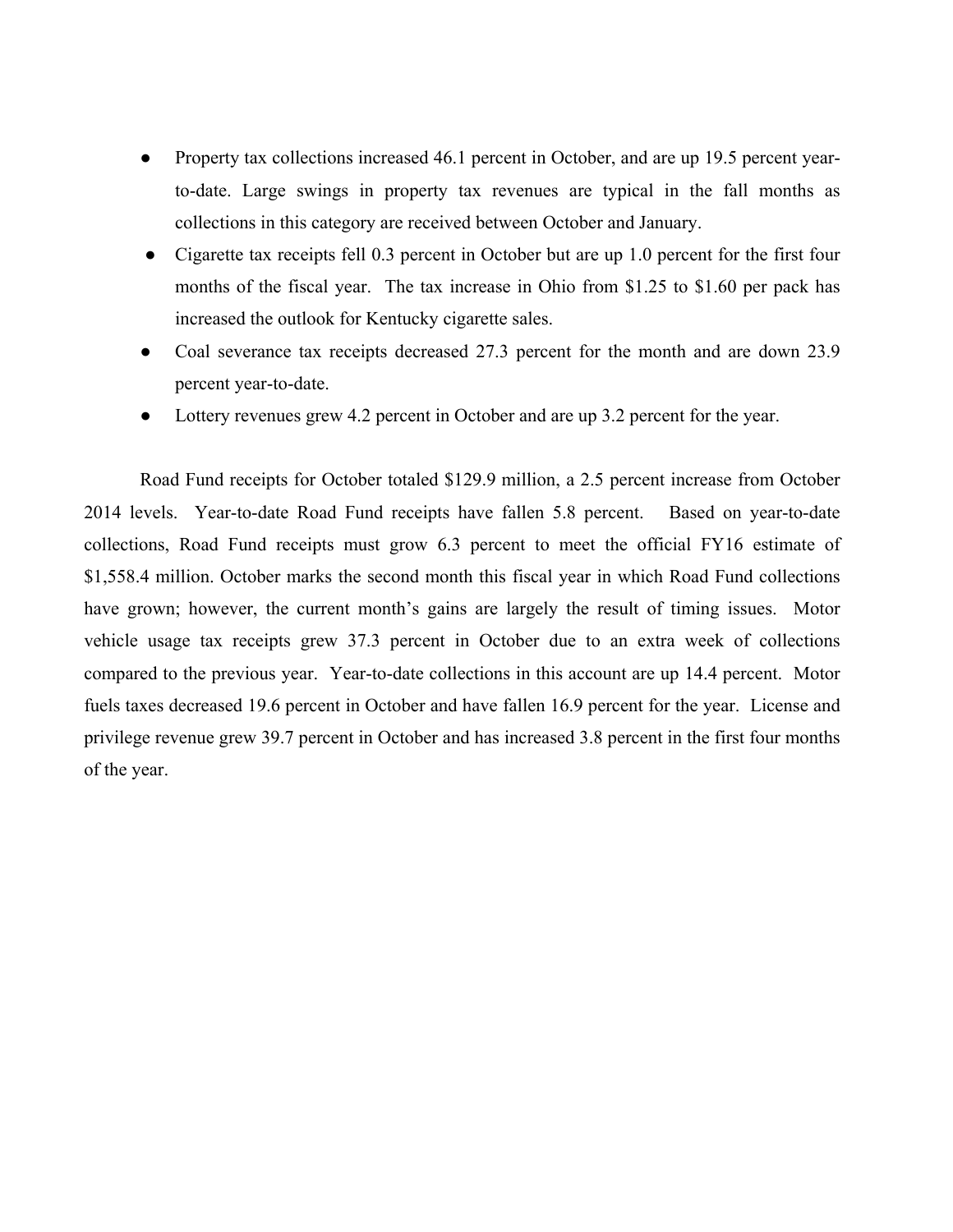- Property tax collections increased 46.1 percent in October, and are up 19.5 percent yearto-date. Large swings in property tax revenues are typical in the fall months as collections in this category are received between October and January.
- Cigarette tax receipts fell 0.3 percent in October but are up 1.0 percent for the first four months of the fiscal year. The tax increase in Ohio from \$1.25 to \$1.60 per pack has increased the outlook for Kentucky cigarette sales.
- Coal severance tax receipts decreased 27.3 percent for the month and are down 23.9 percent year-to-date.
- Lottery revenues grew 4.2 percent in October and are up 3.2 percent for the year.

Road Fund receipts for October totaled \$129.9 million, a 2.5 percent increase from October 2014 levels. Year-to-date Road Fund receipts have fallen 5.8 percent. Based on year-to-date collections, Road Fund receipts must grow 6.3 percent to meet the official FY16 estimate of \$1,558.4 million. October marks the second month this fiscal year in which Road Fund collections have grown; however, the current month's gains are largely the result of timing issues. Motor vehicle usage tax receipts grew 37.3 percent in October due to an extra week of collections compared to the previous year. Year-to-date collections in this account are up 14.4 percent. Motor fuels taxes decreased 19.6 percent in October and have fallen 16.9 percent for the year. License and privilege revenue grew 39.7 percent in October and has increased 3.8 percent in the first four months of the year.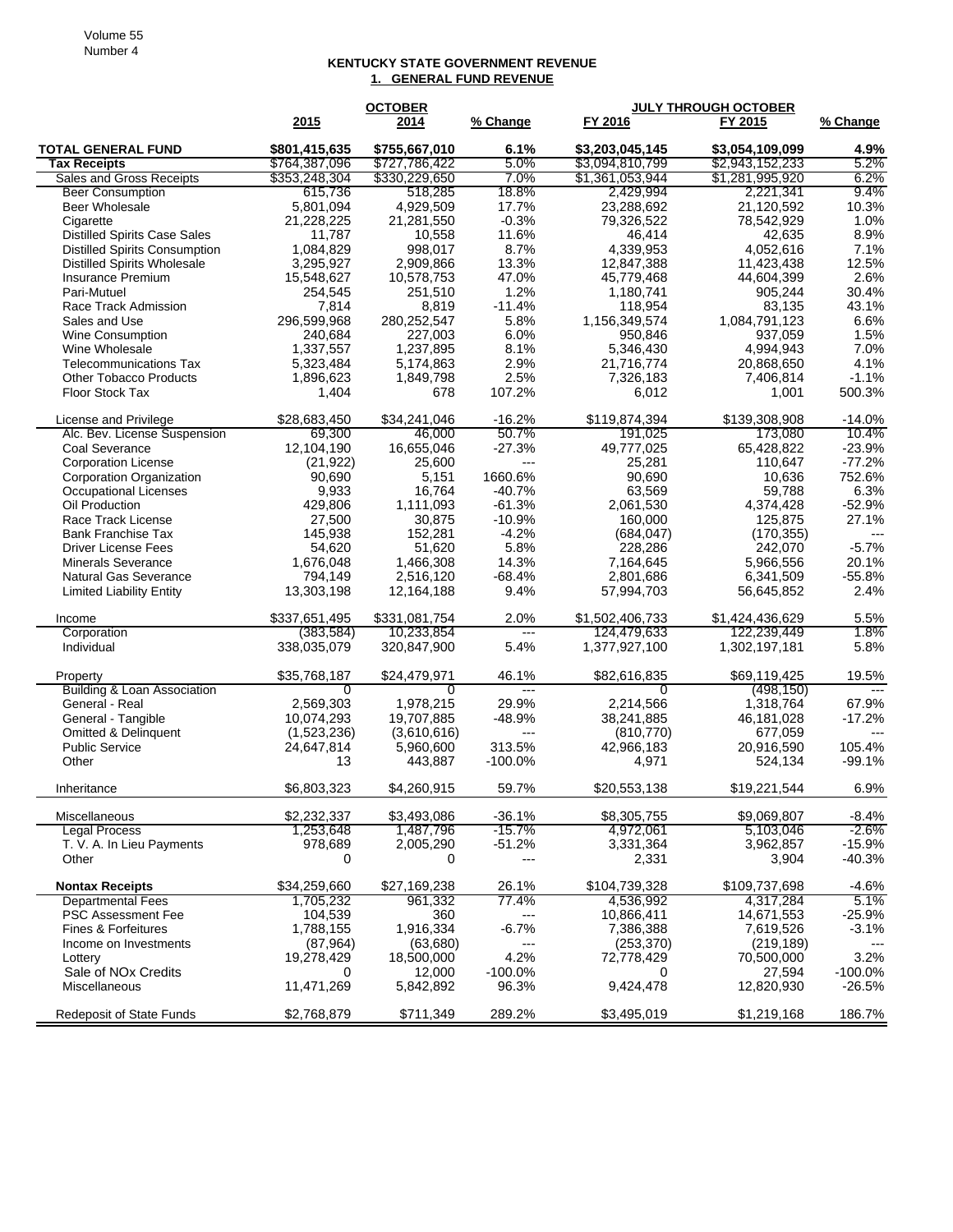## **KENTUCKY STATE GOVERNMENT REVENUE 1. GENERAL FUND REVENUE**

|                                      |               | <b>OCTOBER</b> |                           | <b>JULY THROUGH OCTOBER</b> |                 |            |
|--------------------------------------|---------------|----------------|---------------------------|-----------------------------|-----------------|------------|
|                                      | 2015          | 2014           | % Change                  | FY 2016                     | FY 2015         | % Change   |
| <b>TOTAL GENERAL FUND</b>            | \$801,415,635 | \$755,667,010  | 6.1%                      | \$3,203,045,145             | \$3,054,109,099 | 4.9%       |
| <b>Tax Receipts</b>                  | \$764,387,096 | \$727,786,422  | 5.0%                      | \$3,094,810,799             | \$2,943,152,233 | 5.2%       |
| <b>Sales and Gross Receipts</b>      | \$353,248,304 | \$330,229,650  | 7.0%                      | \$1,361,053,944             | \$1,281,995,920 | 6.2%       |
| <b>Beer Consumption</b>              | 615,736       | 518,285        | 18.8%                     | 2,429,994                   | 2,221,341       | 9.4%       |
| <b>Beer Wholesale</b>                | 5,801,094     | 4,929,509      | 17.7%                     | 23,288,692                  | 21,120,592      | 10.3%      |
| Cigarette                            | 21,228,225    | 21,281,550     | $-0.3%$                   | 79,326,522                  | 78,542,929      | 1.0%       |
| <b>Distilled Spirits Case Sales</b>  | 11,787        | 10,558         | 11.6%                     | 46,414                      | 42,635          | 8.9%       |
| <b>Distilled Spirits Consumption</b> | 1,084,829     | 998,017        | 8.7%                      | 4,339,953                   | 4,052,616       | 7.1%       |
| <b>Distilled Spirits Wholesale</b>   | 3,295,927     | 2,909,866      | 13.3%                     | 12,847,388                  | 11,423,438      | 12.5%      |
| Insurance Premium                    | 15,548,627    | 10,578,753     | 47.0%                     | 45,779,468                  | 44,604,399      | 2.6%       |
| Pari-Mutuel                          | 254,545       | 251,510        | 1.2%                      | 1,180,741                   | 905,244         | 30.4%      |
| Race Track Admission                 | 7,814         | 8,819          | $-11.4%$                  | 118,954                     | 83,135          | 43.1%      |
| Sales and Use                        | 296,599,968   | 280,252,547    | 5.8%                      | 1,156,349,574               | 1,084,791,123   | 6.6%       |
| Wine Consumption                     | 240,684       | 227,003        | 6.0%                      | 950,846                     | 937,059         | 1.5%       |
| Wine Wholesale                       | 1,337,557     | 1,237,895      | 8.1%                      | 5,346,430                   | 4,994,943       | 7.0%       |
| <b>Telecommunications Tax</b>        | 5,323,484     | 5,174,863      | 2.9%                      | 21,716,774                  | 20,868,650      | 4.1%       |
| <b>Other Tobacco Products</b>        | 1,896,623     | 1,849,798      | 2.5%                      | 7,326,183                   | 7,406,814       | $-1.1%$    |
| Floor Stock Tax                      | 1,404         | 678            | 107.2%                    | 6,012                       | 1,001           | 500.3%     |
| License and Privilege                | \$28,683,450  | \$34,241,046   | $-16.2%$                  | \$119,874,394               | \$139,308,908   | $-14.0%$   |
| Alc. Bev. License Suspension         | 69,300        | 46,000         | 50.7%                     | 191,025                     | 173,080         | 10.4%      |
| <b>Coal Severance</b>                | 12,104,190    | 16,655,046     | $-27.3%$                  | 49,777,025                  | 65,428,822      | $-23.9%$   |
| <b>Corporation License</b>           | (21, 922)     | 25,600         | ---                       | 25,281                      | 110,647         | $-77.2%$   |
| <b>Corporation Organization</b>      | 90,690        | 5,151          | 1660.6%                   | 90,690                      | 10,636          | 752.6%     |
| <b>Occupational Licenses</b>         | 9,933         | 16,764         | $-40.7%$                  | 63,569                      | 59,788          | 6.3%       |
| Oil Production                       | 429,806       | 1,111,093      | $-61.3%$                  | 2,061,530                   | 4,374,428       | $-52.9%$   |
| Race Track License                   | 27,500        | 30,875         | $-10.9%$                  | 160,000                     | 125,875         | 27.1%      |
| <b>Bank Franchise Tax</b>            | 145,938       | 152,281        | $-4.2%$                   | (684, 047)                  | (170, 355)      |            |
| <b>Driver License Fees</b>           | 54,620        | 51,620         | 5.8%                      | 228,286                     | 242,070         | $-5.7%$    |
| <b>Minerals Severance</b>            | 1,676,048     | 1,466,308      | 14.3%                     | 7,164,645                   | 5,966,556       | 20.1%      |
| <b>Natural Gas Severance</b>         | 794,149       | 2,516,120      | $-68.4%$                  | 2,801,686                   | 6,341,509       | $-55.8%$   |
| <b>Limited Liability Entity</b>      | 13,303,198    | 12,164,188     | 9.4%                      | 57,994,703                  | 56,645,852      | 2.4%       |
|                                      |               |                |                           |                             |                 |            |
| Income                               | \$337,651,495 | \$331,081,754  | 2.0%                      | \$1,502,406,733             | \$1,424,436,629 | 5.5%       |
| Corporation                          | (383, 584)    | 10,233,854     | $\qquad \qquad -\qquad -$ | 124,479,633                 | 122,239,449     | $1.8\%$    |
| Individual                           | 338,035,079   | 320,847,900    | 5.4%                      | 1,377,927,100               | 1,302,197,181   | 5.8%       |
| Property                             | \$35,768,187  | \$24,479,971   | 46.1%                     | \$82,616,835                | \$69,119,425    | 19.5%      |
| Building & Loan Association          | 0             | 0              |                           | 0                           | (498, 150)      |            |
| General - Real                       | 2,569,303     | 1,978,215      | 29.9%                     | 2,214,566                   | 1,318,764       | 67.9%      |
| General - Tangible                   | 10,074,293    | 19,707,885     | $-48.9%$                  | 38,241,885                  | 46,181,028      | $-17.2%$   |
| <b>Omitted &amp; Delinquent</b>      | (1,523,236)   | (3,610,616)    | ---                       | (810, 770)                  | 677,059         | $---$      |
| <b>Public Service</b>                | 24,647,814    | 5,960,600      | 313.5%                    | 42,966,183                  | 20,916,590      | 105.4%     |
| Other                                | 13            | 443,887        | $-100.0%$                 | 4,971                       | 524,134         | $-99.1%$   |
| Inheritance                          | \$6,803,323   | \$4,260,915    | 59.7%                     | \$20,553,138                | \$19,221,544    | 6.9%       |
|                                      |               |                |                           |                             |                 |            |
| Miscellaneous                        | \$2,232,337   | \$3,493,086    | $-36.1%$                  | \$8,305,755                 | \$9,069,807     | $-8.4%$    |
| <b>Legal Process</b>                 | 1,253,648     | 1,487,796      | -15.7%                    | 4,972,061                   | 5,103,046       | $-2.6\%$   |
| T. V. A. In Lieu Payments            | 978,689       | 2,005,290      | $-51.2%$                  | 3,331,364                   | 3,962,857       | $-15.9%$   |
| Other                                | 0             | 0              | $---$                     | 2,331                       | 3,904           | $-40.3%$   |
| <b>Nontax Receipts</b>               | \$34,259,660  | \$27,169,238   | 26.1%                     | \$104,739,328               | \$109,737,698   | $-4.6%$    |
| <b>Departmental Fees</b>             | 1,705,232     | 961,332        | 77.4%                     | 4,536,992                   | 4,317,284       | 5.1%       |
| <b>PSC Assessment Fee</b>            | 104,539       | 360            | $---$                     | 10,866,411                  | 14,671,553      | $-25.9%$   |
| Fines & Forfeitures                  | 1,788,155     | 1,916,334      | $-6.7%$                   | 7,386,388                   | 7,619,526       | $-3.1%$    |
| Income on Investments                | (87, 964)     | (63,680)       | ---                       | (253, 370)                  | (219, 189)      | ---        |
| Lottery                              | 19,278,429    | 18,500,000     | 4.2%                      | 72,778,429                  | 70,500,000      | 3.2%       |
| Sale of NOx Credits                  | 0             | 12,000         | $-100.0%$                 | 0                           | 27,594          | $-100.0\%$ |
| Miscellaneous                        | 11,471,269    | 5,842,892      | 96.3%                     | 9,424,478                   | 12,820,930      | $-26.5%$   |
| Redeposit of State Funds             | \$2,768,879   | \$711,349      | 289.2%                    | \$3,495,019                 | \$1,219,168     | 186.7%     |